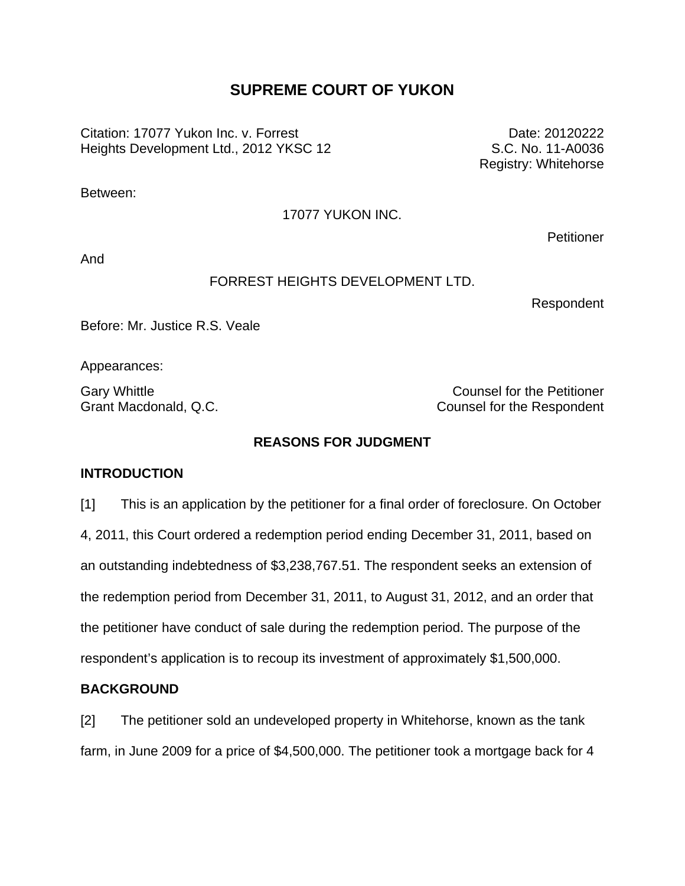# **SUPREME COURT OF YUKON**

Citation: 17077 Yukon Inc. v. Forrest Heights Development Ltd., 2012 YKSC 12

Date: 20120222 S.C. No. 11-A0036 Registry: Whitehorse

Between:

#### 17077 YUKON INC.

And

## FORREST HEIGHTS DEVELOPMENT LTD.

Respondent

**Petitioner** 

Before: Mr. Justice R.S. Veale

Appearances:

Gary Whittle Counsel for the Petitioner Grant Macdonald, Q.C. Counsel for the Respondent

# **REASONS FOR JUDGMENT**

### **INTRODUCTION**

[1] This is an application by the petitioner for a final order of foreclosure. On October 4, 2011, this Court ordered a redemption period ending December 31, 2011, based on an outstanding indebtedness of \$3,238,767.51. The respondent seeks an extension of the redemption period from December 31, 2011, to August 31, 2012, and an order that the petitioner have conduct of sale during the redemption period. The purpose of the respondent's application is to recoup its investment of approximately \$1,500,000.

### **BACKGROUND**

[2] The petitioner sold an undeveloped property in Whitehorse, known as the tank farm, in June 2009 for a price of \$4,500,000. The petitioner took a mortgage back for 4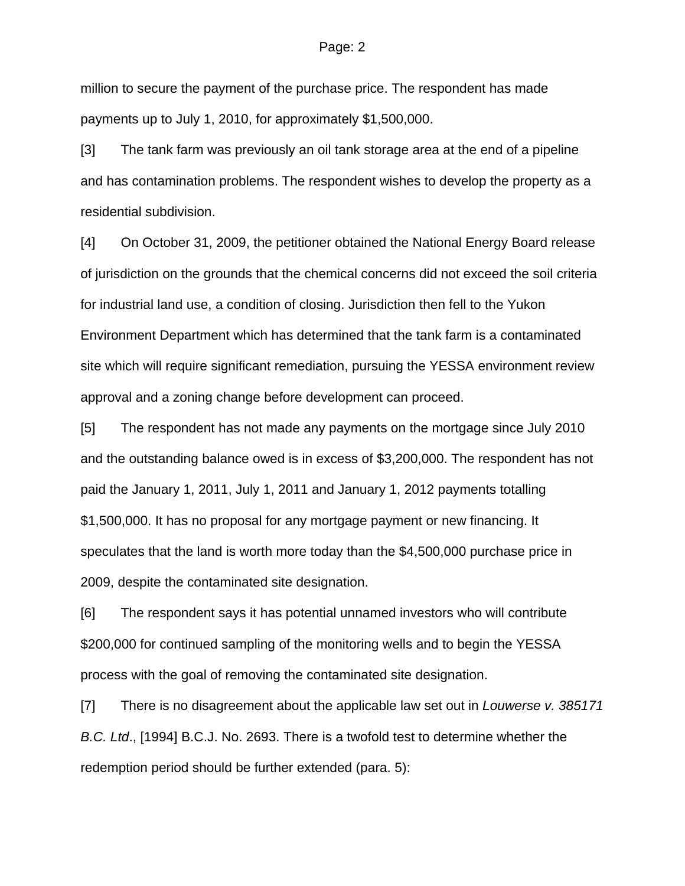#### Page: 2

million to secure the payment of the purchase price. The respondent has made payments up to July 1, 2010, for approximately \$1,500,000.

[3] The tank farm was previously an oil tank storage area at the end of a pipeline and has contamination problems. The respondent wishes to develop the property as a residential subdivision.

[4] On October 31, 2009, the petitioner obtained the National Energy Board release of jurisdiction on the grounds that the chemical concerns did not exceed the soil criteria for industrial land use, a condition of closing. Jurisdiction then fell to the Yukon Environment Department which has determined that the tank farm is a contaminated site which will require significant remediation, pursuing the YESSA environment review approval and a zoning change before development can proceed.

[5] The respondent has not made any payments on the mortgage since July 2010 and the outstanding balance owed is in excess of \$3,200,000. The respondent has not paid the January 1, 2011, July 1, 2011 and January 1, 2012 payments totalling \$1,500,000. It has no proposal for any mortgage payment or new financing. It speculates that the land is worth more today than the \$4,500,000 purchase price in 2009, despite the contaminated site designation.

[6] The respondent says it has potential unnamed investors who will contribute \$200,000 for continued sampling of the monitoring wells and to begin the YESSA process with the goal of removing the contaminated site designation.

[7] There is no disagreement about the applicable law set out in *Louwerse v. 385171 B.C. Ltd*., [1994] B.C.J. No. 2693. There is a twofold test to determine whether the redemption period should be further extended (para. 5):